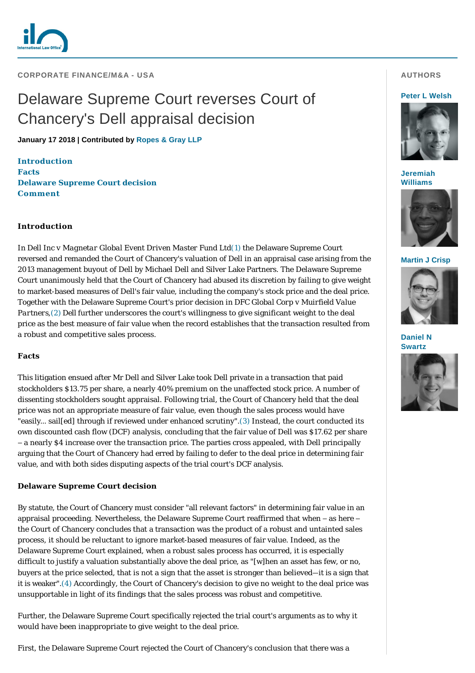

**CORPORATE FINANCE/M&A - USA** 

# Delaware Supreme Court reverses Court of Chancery's Dell appraisal decision

**January 17 2018 | Contributed by [Ropes & Gray LLP](http://www.internationallawoffice.com/gesr.ashx?l=7XTGQV1)**

**[Introduction](#page-0-0) [Facts](#page-0-1) [Delaware Supreme Court decision](#page-0-2) [Comment](#page-1-0)**

# <span id="page-0-0"></span>**Introduction**

In *Dell Inc v Magnetar Global Event Driven Master Fund Lt[d\(1\)](#page-1-1)* the Delaware Supreme Court reversed and remanded the Court of Chancery's valuation of Dell in an appraisal case arising from the 2013 management buyout of Dell by Michael Dell and Silver Lake Partners. The Delaware Supreme Court unanimously held that the Court of Chancery had abused its discretion by failing to give weight to market-based measures of Dell's fair value, including the company's stock price and the deal price. Together with the Delaware Supreme Court's prior decision in *DFC Global Corp v Muirfield Value Partners*, (2) *Dell* further underscores the court's willingness to give significant weight to the deal price as the best measure of fair value when the record establishes that the transaction resulted from a robust and competitive sales process.

### <span id="page-0-1"></span>**Facts**

This litigation ensued after Mr Dell and Silver Lake took Dell private in a transaction that paid stockholders \$13.75 per share, a nearly 40% premium on the unaffected stock price. A number of dissenting stockholders sought appraisal. Following trial, the Court of Chancery held that the deal price was not an appropriate measure of fair value, even though the sales process would have "easily… sail[ed] through if reviewed under enhanced scrutiny".[\(3\)](#page-2-1) Instead, the court conducted its own discounted cash flow (DCF) analysis, concluding that the fair value of Dell was \$17.62 per share – a nearly \$4 increase over the transaction price. The parties cross appealed, with Dell principally arguing that the Court of Chancery had erred by failing to defer to the deal price in determining fair value, and with both sides disputing aspects of the trial court's DCF analysis.

# <span id="page-0-2"></span>**Delaware Supreme Court decision**

By statute, the Court of Chancery must consider "all relevant factors" in determining fair value in an appraisal proceeding. Nevertheless, the Delaware Supreme Court reaffirmed that when – as here – the Court of Chancery concludes that a transaction was the product of a robust and untainted sales process, it should be reluctant to ignore market-based measures of fair value. Indeed, as the Delaware Supreme Court explained, when a robust sales process has occurred, it is especially difficult to justify a valuation substantially above the deal price, as "[w]hen an asset has few, or no, buyers at the price selected, that is not a sign that the asset is stronger than believed—it is a sign that it is weaker".[\(4\)](#page-2-2) Accordingly, the Court of Chancery's decision to give no weight to the deal price was unsupportable in light of its findings that the sales process was robust and competitive.

Further, the Delaware Supreme Court specifically rejected the trial court's arguments as to why it would have been inappropriate to give weight to the deal price.

First, the Delaware Supreme Court rejected the Court of Chancery's conclusion that there was a

# **AUTHORS**

#### **[Peter L Welsh](http://www.internationallawoffice.com/gesr.ashx?l=7XV8P34)**



**[Jeremiah](http://www.internationallawoffice.com/gesr.ashx?l=7XV8P46)  Williams**



**[Martin J Crisp](http://www.internationallawoffice.com/gesr.ashx?l=7XV8P3K)**



**[Daniel N](http://www.internationallawoffice.com/gesr.ashx?l=7XV8P4M)  Swartz**

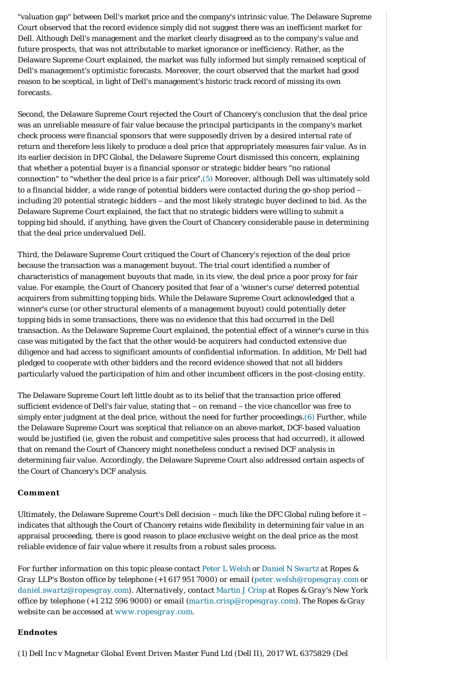"valuation gap" between Dell's market price and the company's intrinsic value. The Delaware Supreme Court observed that the record evidence simply did not suggest there was an inefficient market for Dell. Although Dell's management and the market clearly disagreed as to the company's value and future prospects, that was not attributable to market ignorance or inefficiency. Rather, as the Delaware Supreme Court explained, the market was fully informed but simply remained sceptical of Dell's management's optimistic forecasts. Moreover, the court observed that the market had good reason to be sceptical, in light of Dell's management's historic track record of missing its own forecasts.

Second, the Delaware Supreme Court rejected the Court of Chancery's conclusion that the deal price was an unreliable measure of fair value because the principal participants in the company's market check process were financial sponsors that were supposedly driven by a desired internal rate of return and therefore less likely to produce a deal price that appropriately measures fair value. As in its earlier decision in *DFC Global*, the Delaware Supreme Court dismissed this concern, explaining that whether a potential buyer is a financial sponsor or strategic bidder bears "no rational connection" to "whether the deal price is a fair price".[\(5\)](#page-2-3) Moreover, although Dell was ultimately sold to a financial bidder, a wide range of potential bidders were contacted during the go-shop period – including 20 potential strategic bidders – and the most likely strategic buyer declined to bid. As the Delaware Supreme Court explained, the fact that no strategic bidders were willing to submit a topping bid should, if anything, have given the Court of Chancery considerable pause in determining that the deal price undervalued Dell.

Third, the Delaware Supreme Court critiqued the Court of Chancery's rejection of the deal price because the transaction was a management buyout. The trial court identified a number of characteristics of management buyouts that made, in its view, the deal price a poor proxy for fair value. For example, the Court of Chancery posited that fear of a 'winner's curse' deterred potential acquirers from submitting topping bids. While the Delaware Supreme Court acknowledged that a winner's curse (or other structural elements of a management buyout) could potentially deter topping bids in some transactions, there was no evidence that this had occurred in the Dell transaction. As the Delaware Supreme Court explained, the potential effect of a winner's curse in this case was mitigated by the fact that the other would-be acquirers had conducted extensive due diligence and had access to significant amounts of confidential information. In addition, Mr Dell had pledged to cooperate with other bidders and the record evidence showed that not all bidders particularly valued the participation of him and other incumbent officers in the post-closing entity.

The Delaware Supreme Court left little doubt as to its belief that the transaction price offered sufficient evidence of Dell's fair value, stating that – on remand – the vice chancellor was free to simply enter judgment at the deal price, without the need for further proceedings[.\(6\)](#page-2-4) Further, while the Delaware Supreme Court was sceptical that reliance on an above-market, DCF-based valuation would be justified (ie, given the robust and competitive sales process that had occurred), it allowed that on remand the Court of Chancery might nonetheless conduct a revised DCF analysis in determining fair value. Accordingly, the Delaware Supreme Court also addressed certain aspects of the Court of Chancery's DCF analysis.

### <span id="page-1-0"></span>**Comment**

Ultimately, the Delaware Supreme Court's *Dell* decision – much like the *DFC Global* ruling before it – indicates that although the Court of Chancery retains wide flexibility in determining fair value in an appraisal proceeding, there is good reason to place exclusive weight on the deal price as the most reliable evidence of fair value where it results from a robust sales process.

*For further information on this topic please contact [Peter L Welsh](http://www.internationallawoffice.com/gesr.ashx?l=7XV8P34) or [Daniel N Swartz](http://www.internationallawoffice.com/gesr.ashx?l=7XV8P3A) at Ropes & Gray LLP's Boston office by telephone (+1 617 951 7000) or email ([peter.welsh@ropesgray.com](mailto:peter.walsh@ropesgray.com?subject=Article%20on%20ILO) or [daniel.swartz@ropesgray.com](mailto:daniel.swartz@ropesgray.com)). Alternatively, contact [Martin J Crisp](http://www.internationallawoffice.com/gesr.ashx?l=7XV8P3K) at Ropes & Gray's New York office by telephone (+1 212 596 9000) or email ([martin.crisp@ropesgray.com\)](mailto:martin.crisp@ropesgray.com). The Ropes & Gray website can be accessed at [www.ropesgray.com.](http://www.internationallawoffice.com/gesr.ashx?l=7XV8P3U)*

#### **Endnotes**

<span id="page-1-1"></span>(1) *Dell Inc v Magnetar Global Event Driven Master Fund Ltd (Dell II)*, 2017 WL 6375829 (Del